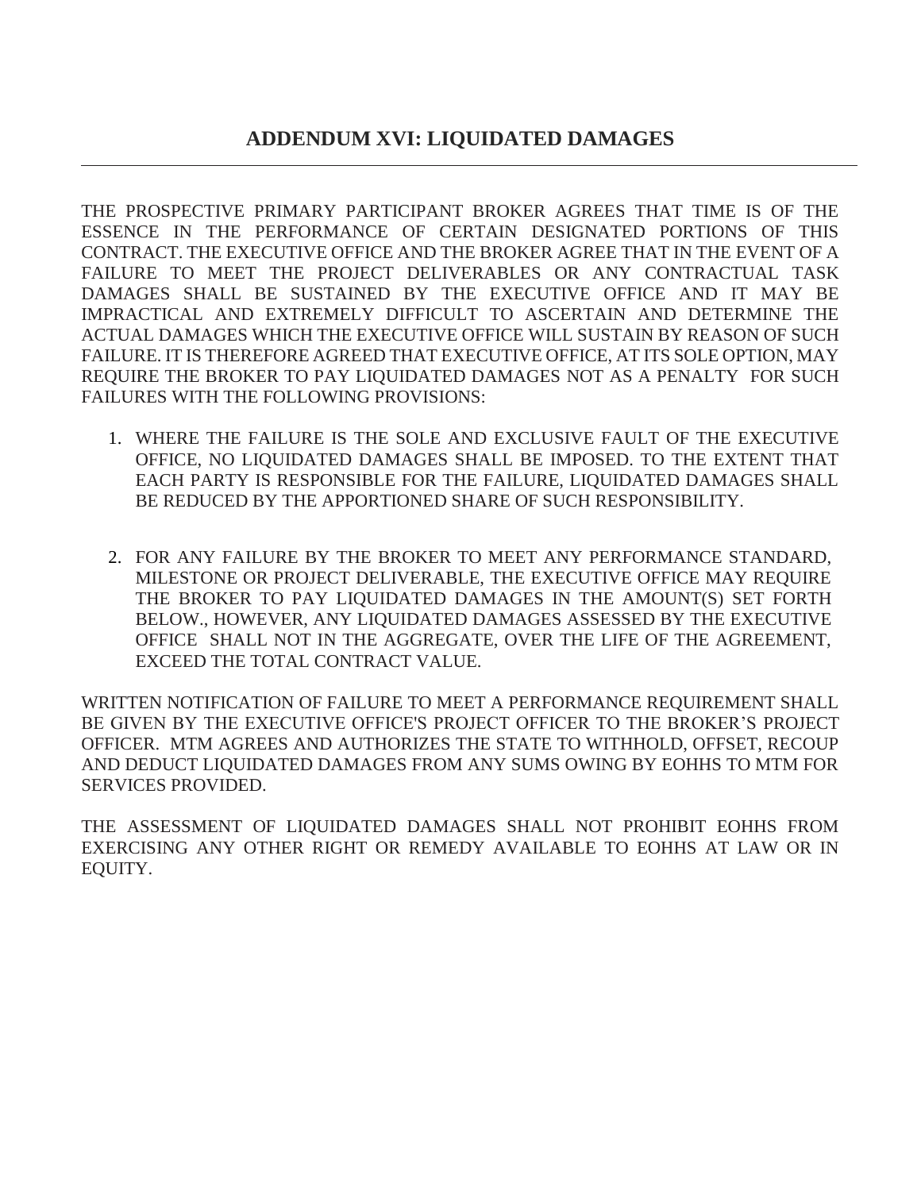THE PROSPECTIVE PRIMARY PARTICIPANT BROKER AGREES THAT TIME IS OF THE ESSENCE IN THE PERFORMANCE OF CERTAIN DESIGNATED PORTIONS OF THIS CONTRACT. THE EXECUTIVE OFFICE AND THE BROKER AGREE THAT IN THE EVENT OF A FAILURE TO MEET THE PROJECT DELIVERABLES OR ANY CONTRACTUAL TASK DAMAGES SHALL BE SUSTAINED BY THE EXECUTIVE OFFICE AND IT MAY BE IMPRACTICAL AND EXTREMELY DIFFICULT TO ASCERTAIN AND DETERMINE THE ACTUAL DAMAGES WHICH THE EXECUTIVE OFFICE WILL SUSTAIN BY REASON OF SUCH FAILURE. IT IS THEREFORE AGREED THAT EXECUTIVE OFFICE, AT ITS SOLE OPTION, MAY REQUIRE THE BROKER TO PAY LIQUIDATED DAMAGES NOT AS A PENALTY FOR SUCH FAILURES WITH THE FOLLOWING PROVISIONS:

- 1. WHERE THE FAILURE IS THE SOLE AND EXCLUSIVE FAULT OF THE EXECUTIVE OFFICE, NO LIQUIDATED DAMAGES SHALL BE IMPOSED. TO THE EXTENT THAT EACH PARTY IS RESPONSIBLE FOR THE FAILURE, LIQUIDATED DAMAGES SHALL BE REDUCED BY THE APPORTIONED SHARE OF SUCH RESPONSIBILITY.
- 2. FOR ANY FAILURE BY THE BROKER TO MEET ANY PERFORMANCE STANDARD, MILESTONE OR PROJECT DELIVERABLE, THE EXECUTIVE OFFICE MAY REQUIRE THE BROKER TO PAY LIQUIDATED DAMAGES IN THE AMOUNT(S) SET FORTH BELOW., HOWEVER, ANY LIQUIDATED DAMAGES ASSESSED BY THE EXECUTIVE OFFICE SHALL NOT IN THE AGGREGATE, OVER THE LIFE OF THE AGREEMENT, EXCEED THE TOTAL CONTRACT VALUE.

WRITTEN NOTIFICATION OF FAILURE TO MEET A PERFORMANCE REQUIREMENT SHALL BE GIVEN BY THE EXECUTIVE OFFICE'S PROJECT OFFICER TO THE BROKER'S PROJECT OFFICER. MTM AGREES AND AUTHORIZES THE STATE TO WITHHOLD, OFFSET, RECOUP AND DEDUCT LIQUIDATED DAMAGES FROM ANY SUMS OWING BY EOHHS TO MTM FOR SERVICES PROVIDED.

THE ASSESSMENT OF LIQUIDATED DAMAGES SHALL NOT PROHIBIT EOHHS FROM EXERCISING ANY OTHER RIGHT OR REMEDY AVAILABLE TO EOHHS AT LAW OR IN EQUITY.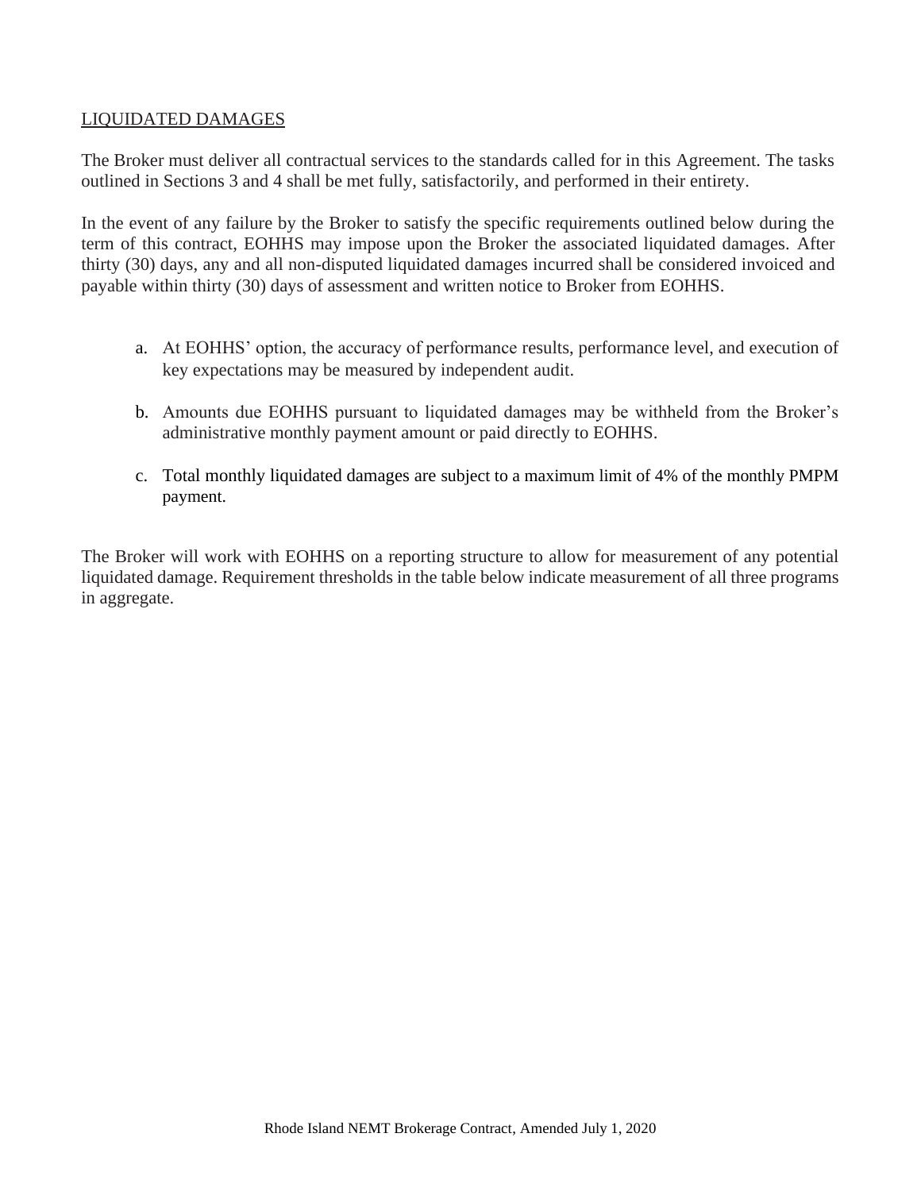## LIQUIDATED DAMAGES

The Broker must deliver all contractual services to the standards called for in this Agreement. The tasks outlined in Sections 3 and 4 shall be met fully, satisfactorily, and performed in their entirety.

In the event of any failure by the Broker to satisfy the specific requirements outlined below during the term of this contract, EOHHS may impose upon the Broker the associated liquidated damages. After thirty (30) days, any and all non-disputed liquidated damages incurred shall be considered invoiced and payable within thirty (30) days of assessment and written notice to Broker from EOHHS.

- a. At EOHHS' option, the accuracy of performance results, performance level, and execution of key expectations may be measured by independent audit.
- b. Amounts due EOHHS pursuant to liquidated damages may be withheld from the Broker's administrative monthly payment amount or paid directly to EOHHS.
- c. Total monthly liquidated damages are subject to a maximum limit of 4% of the monthly PMPM payment.

The Broker will work with EOHHS on a reporting structure to allow for measurement of any potential liquidated damage. Requirement thresholds in the table below indicate measurement of all three programs in aggregate.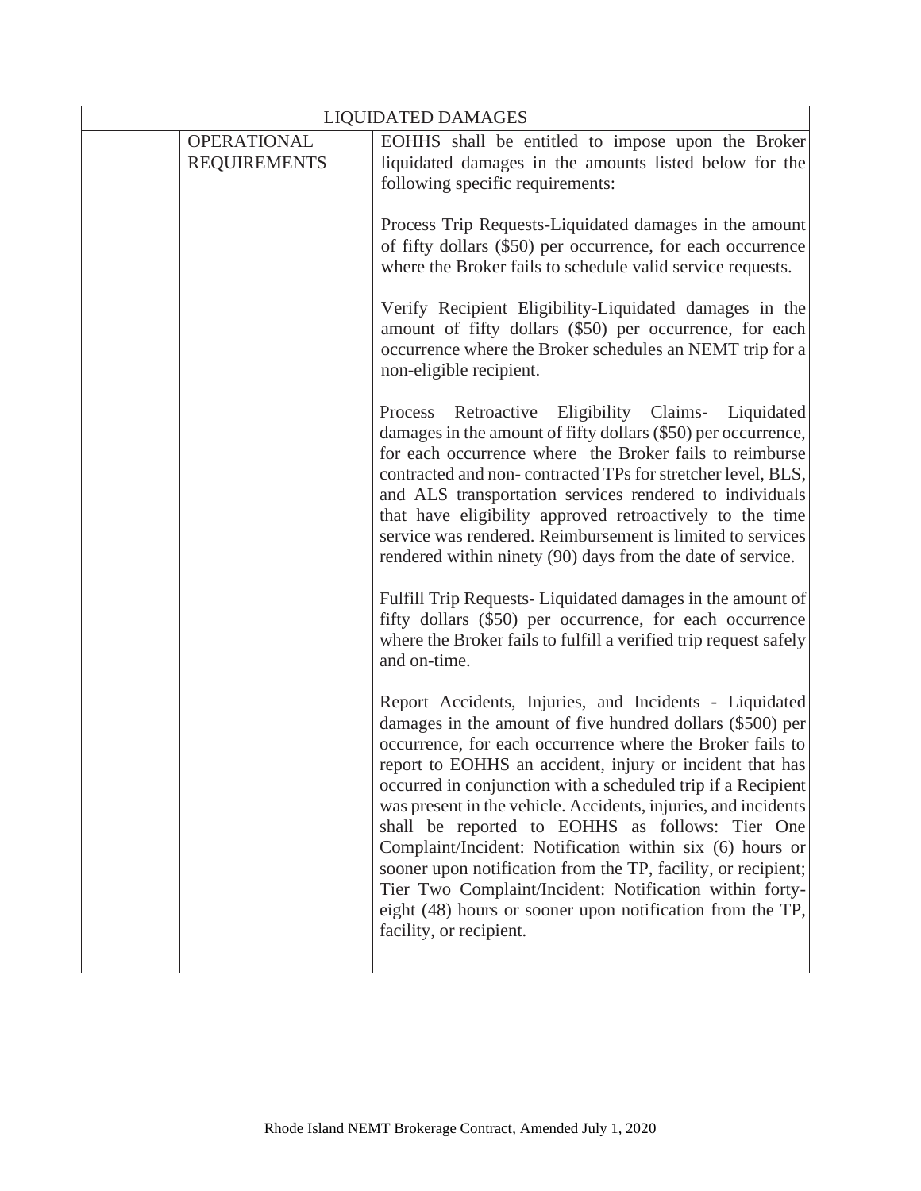| <b>LIQUIDATED DAMAGES</b> |                                           |                                                                                                                                                                                                                                                                                                                                                                                                                                                                                                                                                                                                                                                                                                                   |
|---------------------------|-------------------------------------------|-------------------------------------------------------------------------------------------------------------------------------------------------------------------------------------------------------------------------------------------------------------------------------------------------------------------------------------------------------------------------------------------------------------------------------------------------------------------------------------------------------------------------------------------------------------------------------------------------------------------------------------------------------------------------------------------------------------------|
|                           | <b>OPERATIONAL</b><br><b>REQUIREMENTS</b> | EOHHS shall be entitled to impose upon the Broker<br>liquidated damages in the amounts listed below for the                                                                                                                                                                                                                                                                                                                                                                                                                                                                                                                                                                                                       |
|                           |                                           | following specific requirements:                                                                                                                                                                                                                                                                                                                                                                                                                                                                                                                                                                                                                                                                                  |
|                           |                                           | Process Trip Requests-Liquidated damages in the amount<br>of fifty dollars (\$50) per occurrence, for each occurrence<br>where the Broker fails to schedule valid service requests.                                                                                                                                                                                                                                                                                                                                                                                                                                                                                                                               |
|                           |                                           | Verify Recipient Eligibility-Liquidated damages in the<br>amount of fifty dollars (\$50) per occurrence, for each<br>occurrence where the Broker schedules an NEMT trip for a<br>non-eligible recipient.                                                                                                                                                                                                                                                                                                                                                                                                                                                                                                          |
|                           |                                           | Retroactive<br>Eligibility Claims- Liquidated<br>Process<br>damages in the amount of fifty dollars (\$50) per occurrence,<br>for each occurrence where the Broker fails to reimburse<br>contracted and non-contracted TPs for stretcher level, BLS,<br>and ALS transportation services rendered to individuals<br>that have eligibility approved retroactively to the time<br>service was rendered. Reimbursement is limited to services<br>rendered within ninety (90) days from the date of service.                                                                                                                                                                                                            |
|                           |                                           | Fulfill Trip Requests-Liquidated damages in the amount of<br>fifty dollars (\$50) per occurrence, for each occurrence<br>where the Broker fails to fulfill a verified trip request safely<br>and on-time.                                                                                                                                                                                                                                                                                                                                                                                                                                                                                                         |
|                           |                                           | Report Accidents, Injuries, and Incidents - Liquidated<br>damages in the amount of five hundred dollars (\$500) per<br>occurrence, for each occurrence where the Broker fails to<br>report to EOHHS an accident, injury or incident that has<br>occurred in conjunction with a scheduled trip if a Recipient<br>was present in the vehicle. Accidents, injuries, and incidents<br>shall be reported to EOHHS as follows: Tier One<br>Complaint/Incident: Notification within six (6) hours or<br>sooner upon notification from the TP, facility, or recipient;<br>Tier Two Complaint/Incident: Notification within forty-<br>eight (48) hours or sooner upon notification from the TP,<br>facility, or recipient. |
|                           |                                           |                                                                                                                                                                                                                                                                                                                                                                                                                                                                                                                                                                                                                                                                                                                   |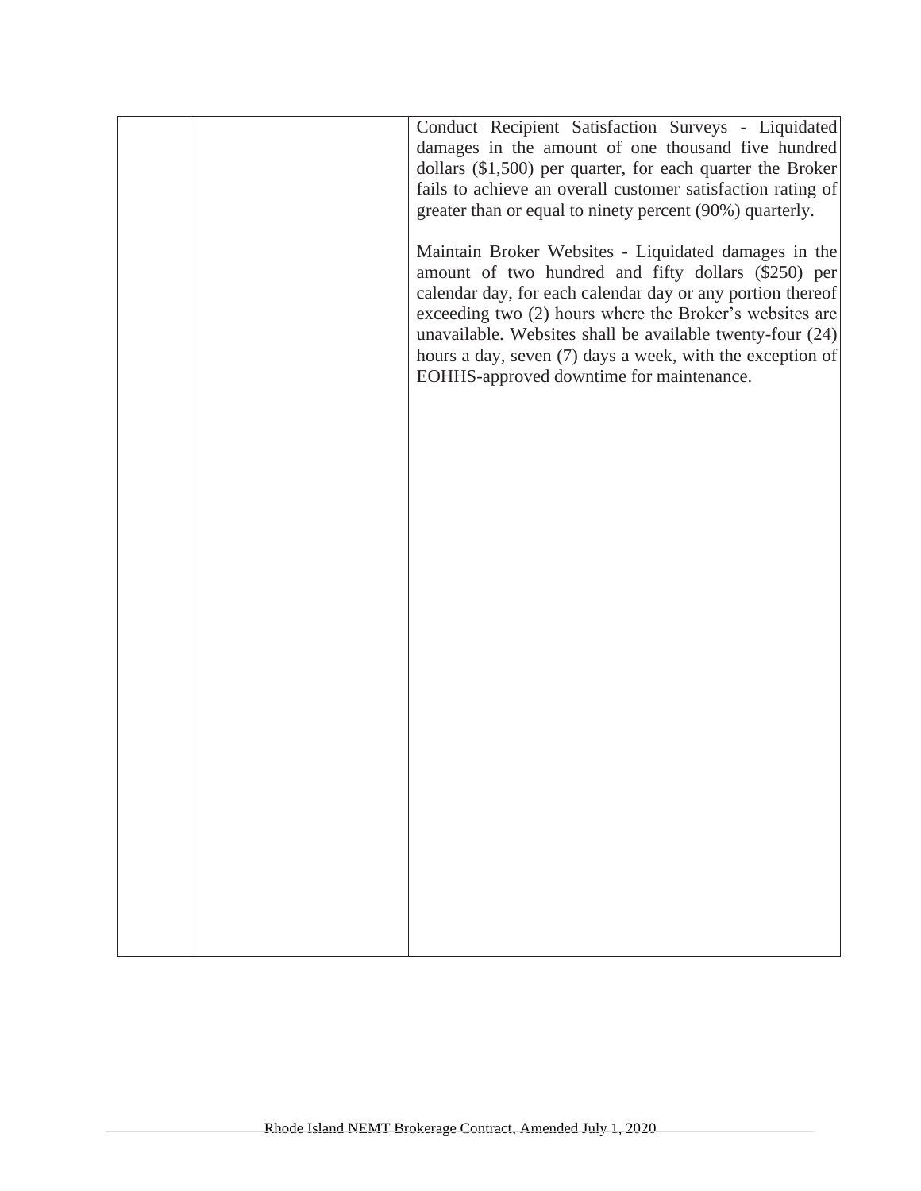|  | Conduct Recipient Satisfaction Surveys - Liquidated<br>damages in the amount of one thousand five hundred<br>dollars (\$1,500) per quarter, for each quarter the Broker<br>fails to achieve an overall customer satisfaction rating of<br>greater than or equal to ninety percent (90%) quarterly.<br>Maintain Broker Websites - Liquidated damages in the<br>amount of two hundred and fifty dollars (\$250) per<br>calendar day, for each calendar day or any portion thereof<br>exceeding two (2) hours where the Broker's websites are<br>unavailable. Websites shall be available twenty-four (24)<br>hours a day, seven (7) days a week, with the exception of<br>EOHHS-approved downtime for maintenance. |
|--|------------------------------------------------------------------------------------------------------------------------------------------------------------------------------------------------------------------------------------------------------------------------------------------------------------------------------------------------------------------------------------------------------------------------------------------------------------------------------------------------------------------------------------------------------------------------------------------------------------------------------------------------------------------------------------------------------------------|
|  |                                                                                                                                                                                                                                                                                                                                                                                                                                                                                                                                                                                                                                                                                                                  |
|  |                                                                                                                                                                                                                                                                                                                                                                                                                                                                                                                                                                                                                                                                                                                  |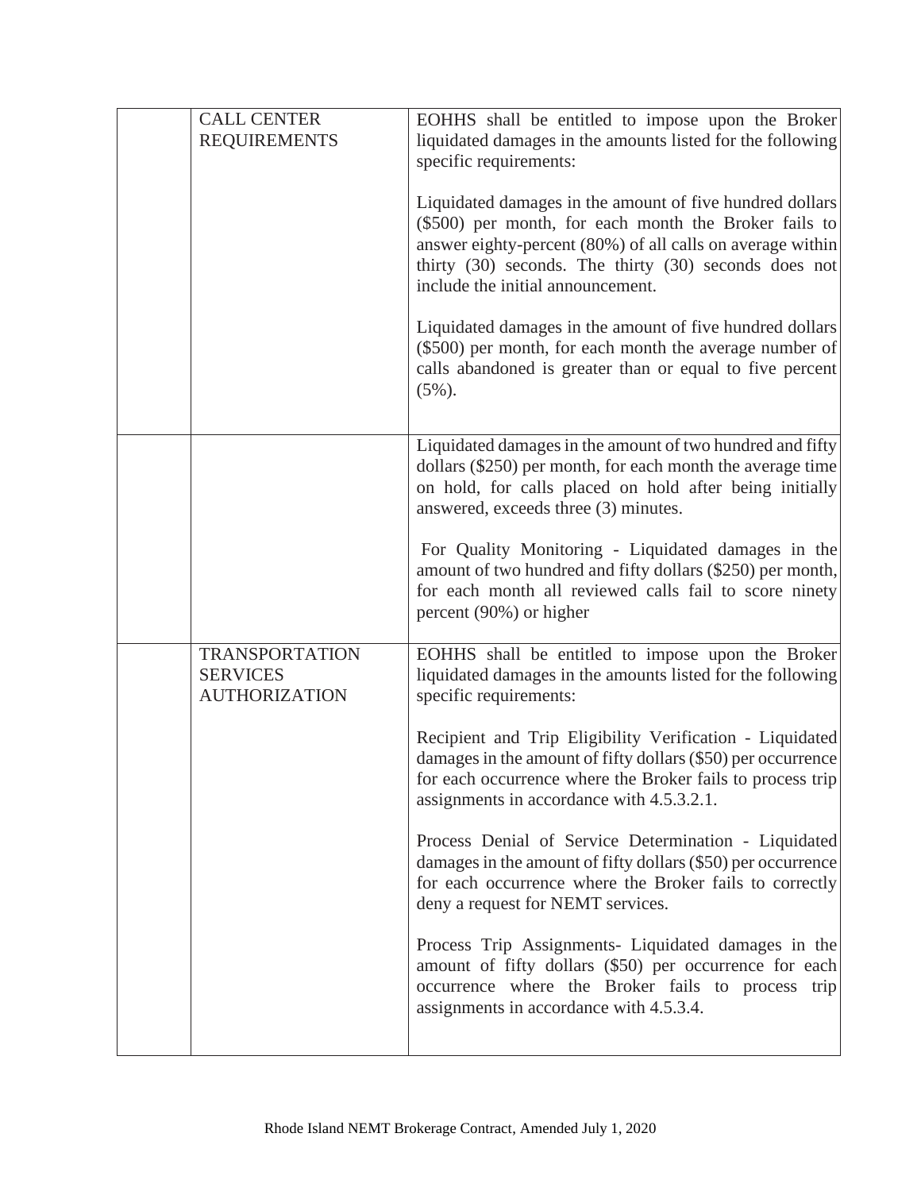| <b>CALL CENTER</b><br><b>REQUIREMENTS</b>                        | EOHHS shall be entitled to impose upon the Broker<br>liquidated damages in the amounts listed for the following<br>specific requirements:                                                                                                                                     |
|------------------------------------------------------------------|-------------------------------------------------------------------------------------------------------------------------------------------------------------------------------------------------------------------------------------------------------------------------------|
|                                                                  | Liquidated damages in the amount of five hundred dollars<br>(\$500) per month, for each month the Broker fails to<br>answer eighty-percent (80%) of all calls on average within<br>thirty (30) seconds. The thirty (30) seconds does not<br>include the initial announcement. |
|                                                                  | Liquidated damages in the amount of five hundred dollars<br>(\$500) per month, for each month the average number of<br>calls abandoned is greater than or equal to five percent<br>$(5\%)$ .                                                                                  |
|                                                                  | Liquidated damages in the amount of two hundred and fifty<br>dollars $(\$250)$ per month, for each month the average time<br>on hold, for calls placed on hold after being initially<br>answered, exceeds three (3) minutes.                                                  |
|                                                                  | For Quality Monitoring - Liquidated damages in the<br>amount of two hundred and fifty dollars (\$250) per month,<br>for each month all reviewed calls fail to score ninety<br>percent (90%) or higher                                                                         |
| <b>TRANSPORTATION</b><br><b>SERVICES</b><br><b>AUTHORIZATION</b> | EOHHS shall be entitled to impose upon the Broker<br>liquidated damages in the amounts listed for the following<br>specific requirements:                                                                                                                                     |
|                                                                  | Recipient and Trip Eligibility Verification - Liquidated<br>damages in the amount of fifty dollars (\$50) per occurrence<br>for each occurrence where the Broker fails to process trip<br>assignments in accordance with 4.5.3.2.1.                                           |
|                                                                  | Process Denial of Service Determination - Liquidated<br>damages in the amount of fifty dollars (\$50) per occurrence<br>for each occurrence where the Broker fails to correctly<br>deny a request for NEMT services.                                                          |
|                                                                  | Process Trip Assignments- Liquidated damages in the<br>amount of fifty dollars (\$50) per occurrence for each<br>occurrence where the Broker fails to process trip<br>assignments in accordance with 4.5.3.4.                                                                 |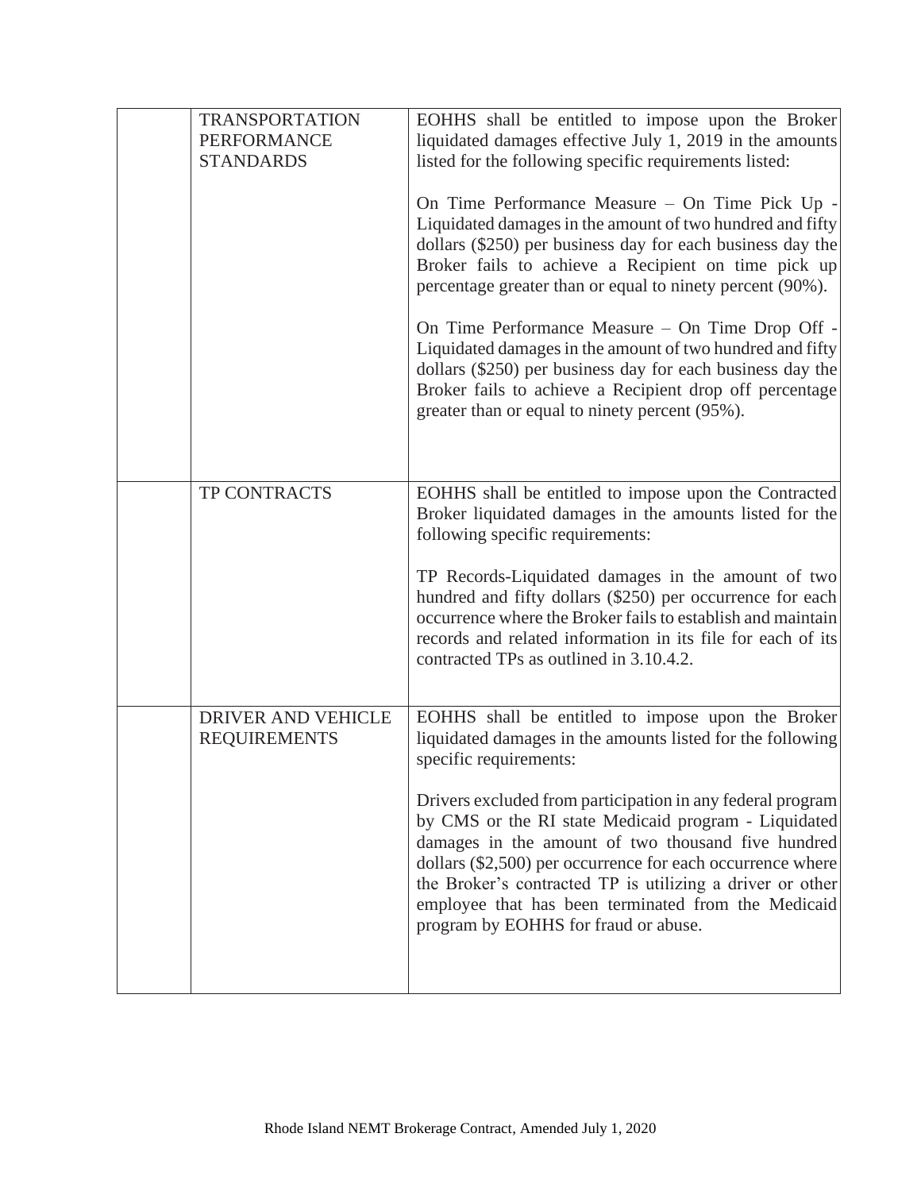| <b>TRANSPORTATION</b><br><b>PERFORMANCE</b><br><b>STANDARDS</b> | EOHHS shall be entitled to impose upon the Broker<br>liquidated damages effective July 1, 2019 in the amounts<br>listed for the following specific requirements listed:<br>On Time Performance Measure - On Time Pick Up -<br>Liquidated damages in the amount of two hundred and fifty<br>dollars (\$250) per business day for each business day the<br>Broker fails to achieve a Recipient on time pick up<br>percentage greater than or equal to ninety percent (90%).<br>On Time Performance Measure – On Time Drop Off -<br>Liquidated damages in the amount of two hundred and fifty<br>dollars (\$250) per business day for each business day the<br>Broker fails to achieve a Recipient drop off percentage<br>greater than or equal to ninety percent (95%). |
|-----------------------------------------------------------------|-----------------------------------------------------------------------------------------------------------------------------------------------------------------------------------------------------------------------------------------------------------------------------------------------------------------------------------------------------------------------------------------------------------------------------------------------------------------------------------------------------------------------------------------------------------------------------------------------------------------------------------------------------------------------------------------------------------------------------------------------------------------------|
| TP CONTRACTS                                                    | EOHHS shall be entitled to impose upon the Contracted<br>Broker liquidated damages in the amounts listed for the<br>following specific requirements:<br>TP Records-Liquidated damages in the amount of two<br>hundred and fifty dollars (\$250) per occurrence for each<br>occurrence where the Broker fails to establish and maintain<br>records and related information in its file for each of its<br>contracted TPs as outlined in 3.10.4.2.                                                                                                                                                                                                                                                                                                                      |
| DRIVER AND VEHICLE<br><b>REQUIREMENTS</b>                       | EOHHS shall be entitled to impose upon the Broker<br>liquidated damages in the amounts listed for the following<br>specific requirements:<br>Drivers excluded from participation in any federal program<br>by CMS or the RI state Medicaid program - Liquidated<br>damages in the amount of two thousand five hundred<br>dollars (\$2,500) per occurrence for each occurrence where<br>the Broker's contracted TP is utilizing a driver or other<br>employee that has been terminated from the Medicaid<br>program by EOHHS for fraud or abuse.                                                                                                                                                                                                                       |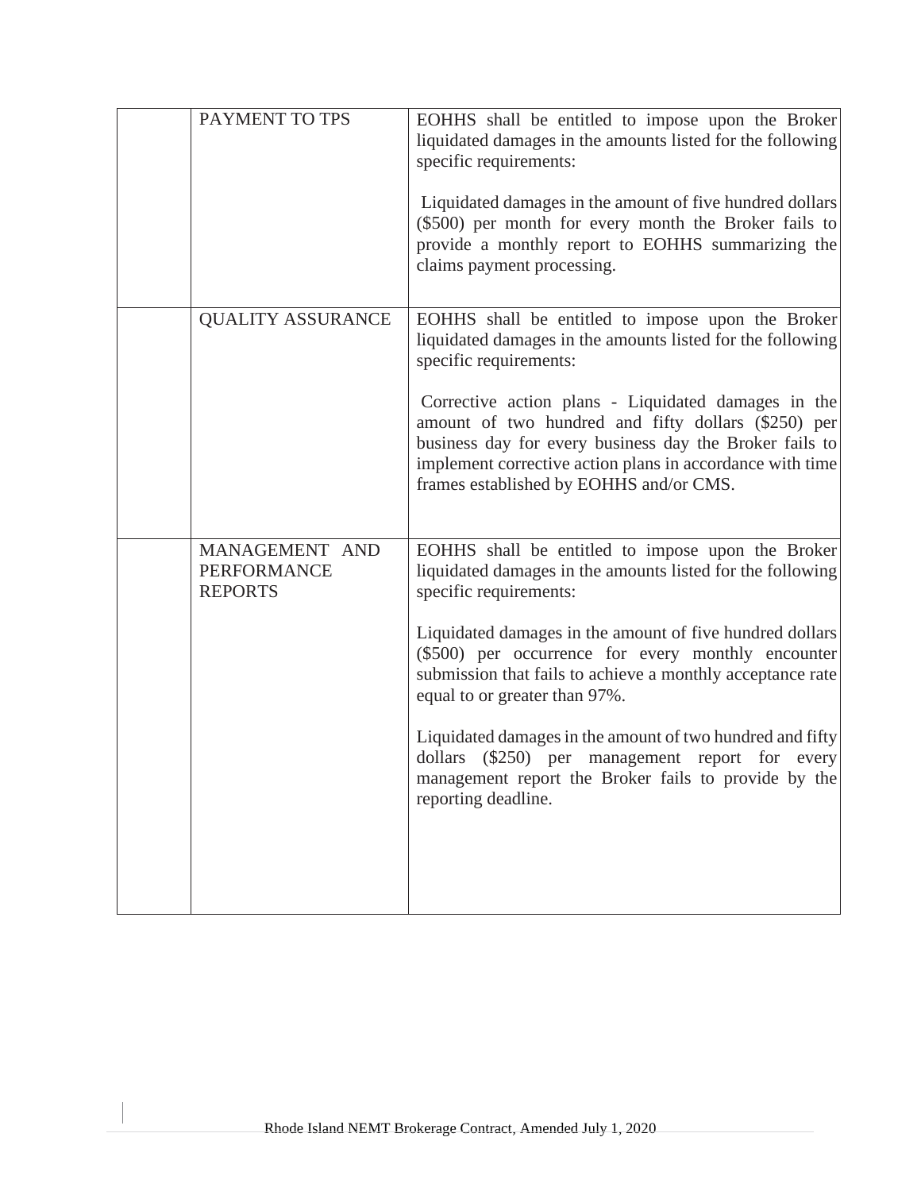| PAYMENT TO TPS                                         | EOHHS shall be entitled to impose upon the Broker<br>liquidated damages in the amounts listed for the following<br>specific requirements:<br>Liquidated damages in the amount of five hundred dollars<br>(\$500) per month for every month the Broker fails to<br>provide a monthly report to EOHHS summarizing the<br>claims payment processing.                                                                                                                                                                                                         |
|--------------------------------------------------------|-----------------------------------------------------------------------------------------------------------------------------------------------------------------------------------------------------------------------------------------------------------------------------------------------------------------------------------------------------------------------------------------------------------------------------------------------------------------------------------------------------------------------------------------------------------|
| <b>QUALITY ASSURANCE</b>                               | EOHHS shall be entitled to impose upon the Broker<br>liquidated damages in the amounts listed for the following<br>specific requirements:<br>Corrective action plans - Liquidated damages in the<br>amount of two hundred and fifty dollars (\$250) per<br>business day for every business day the Broker fails to<br>implement corrective action plans in accordance with time<br>frames established by EOHHS and/or CMS.                                                                                                                                |
| MANAGEMENT AND<br><b>PERFORMANCE</b><br><b>REPORTS</b> | EOHHS shall be entitled to impose upon the Broker<br>liquidated damages in the amounts listed for the following<br>specific requirements:<br>Liquidated damages in the amount of five hundred dollars<br>(\$500) per occurrence for every monthly encounter<br>submission that fails to achieve a monthly acceptance rate<br>equal to or greater than 97%.<br>Liquidated damages in the amount of two hundred and fifty<br>dollars (\$250) per management report for every<br>management report the Broker fails to provide by the<br>reporting deadline. |

 $\mathbf{I}$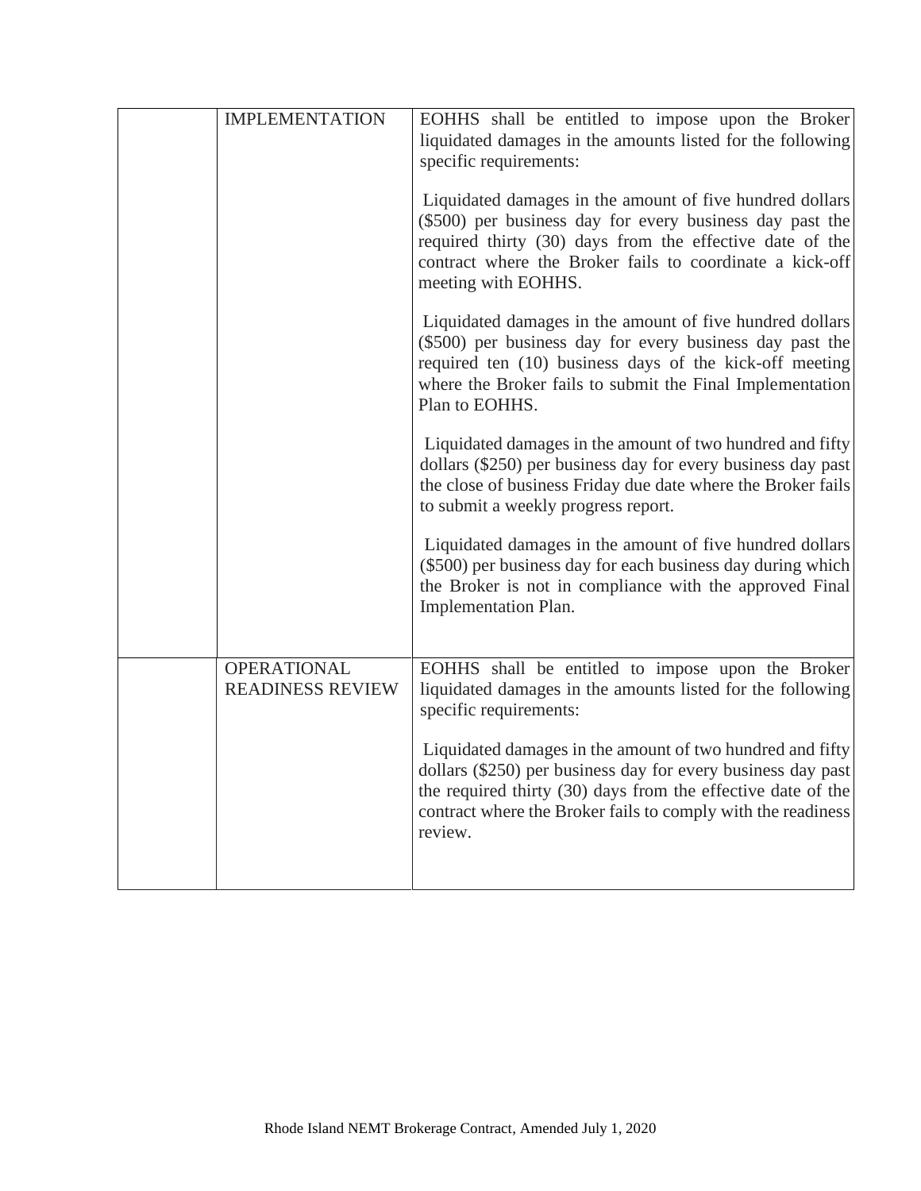| <b>IMPLEMENTATION</b>                         | EOHHS shall be entitled to impose upon the Broker<br>liquidated damages in the amounts listed for the following<br>specific requirements:                                                                                                                            |
|-----------------------------------------------|----------------------------------------------------------------------------------------------------------------------------------------------------------------------------------------------------------------------------------------------------------------------|
|                                               | Liquidated damages in the amount of five hundred dollars<br>(\$500) per business day for every business day past the<br>required thirty (30) days from the effective date of the<br>contract where the Broker fails to coordinate a kick-off<br>meeting with EOHHS.  |
|                                               | Liquidated damages in the amount of five hundred dollars<br>(\$500) per business day for every business day past the<br>required ten (10) business days of the kick-off meeting<br>where the Broker fails to submit the Final Implementation<br>Plan to EOHHS.       |
|                                               | Liquidated damages in the amount of two hundred and fifty<br>dollars (\$250) per business day for every business day past<br>the close of business Friday due date where the Broker fails<br>to submit a weekly progress report.                                     |
|                                               | Liquidated damages in the amount of five hundred dollars<br>(\$500) per business day for each business day during which<br>the Broker is not in compliance with the approved Final<br>Implementation Plan.                                                           |
| <b>OPERATIONAL</b><br><b>READINESS REVIEW</b> | EOHHS shall be entitled to impose upon the Broker<br>liquidated damages in the amounts listed for the following<br>specific requirements:                                                                                                                            |
|                                               | Liquidated damages in the amount of two hundred and fifty<br>dollars (\$250) per business day for every business day past<br>the required thirty (30) days from the effective date of the<br>contract where the Broker fails to comply with the readiness<br>review. |
|                                               |                                                                                                                                                                                                                                                                      |